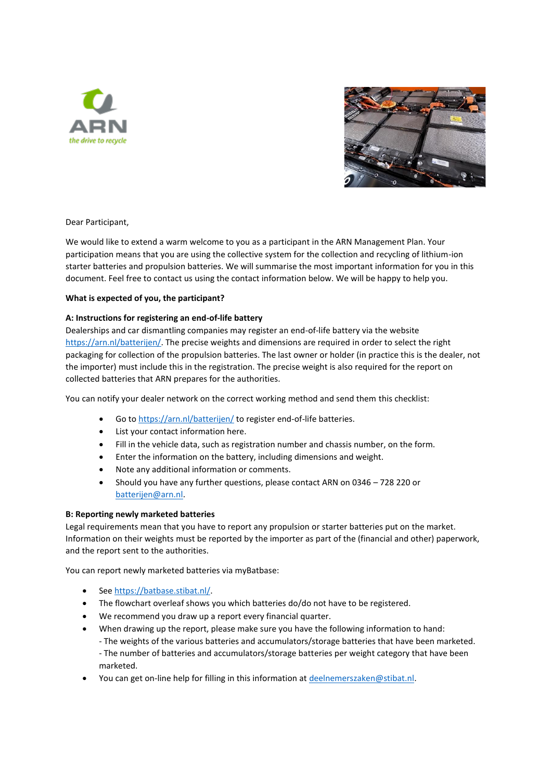



Dear Participant,

We would like to extend a warm welcome to you as a participant in the ARN Management Plan. Your participation means that you are using the collective system for the collection and recycling of lithium-ion starter batteries and propulsion batteries. We will summarise the most important information for you in this document. Feel free to contact us using the contact information below. We will be happy to help you.

# **What is expected of you, the participant?**

### **A: Instructions for registering an end-of-life battery**

Dealerships and car dismantling companies may register an end-of-life battery via the website [https://arn.nl/batterijen/.](https://arn.nl/batterijen/) The precise weights and dimensions are required in order to select the right packaging for collection of the propulsion batteries. The last owner or holder (in practice this is the dealer, not the importer) must include this in the registration. The precise weight is also required for the report on collected batteries that ARN prepares for the authorities.

You can notify your dealer network on the correct working method and send them this checklist:

- Go t[o https://arn.nl/batterijen/](https://arn.nl/batterijen/) to register end-of-life batteries.
- List your contact information here.
- Fill in the vehicle data, such as registration number and chassis number, on the form.
- Enter the information on the battery, including dimensions and weight.
- Note any additional information or comments.
- Should you have any further questions, please contact ARN on 0346 728 220 or [batterijen@arn.nl.](mailto:batterijen@arn.nl)

### **B: Reporting newly marketed batteries**

Legal requirements mean that you have to report any propulsion or starter batteries put on the market. Information on their weights must be reported by the importer as part of the (financial and other) paperwork, and the report sent to the authorities.

You can report newly marketed batteries via myBatbase:

- Se[e https://batbase.stibat.nl/.](https://batbase.stibat.nl/)
- The flowchart overleaf shows you which batteries do/do not have to be registered.
- We recommend you draw up a report every financial quarter.
- When drawing up the report, please make sure you have the following information to hand: - The weights of the various batteries and accumulators/storage batteries that have been marketed. - The number of batteries and accumulators/storage batteries per weight category that have been marketed.
- You can get on-line help for filling in this information a[t deelnemerszaken@stibat.nl.](mailto:deelnemerszaken@stibat.nl)